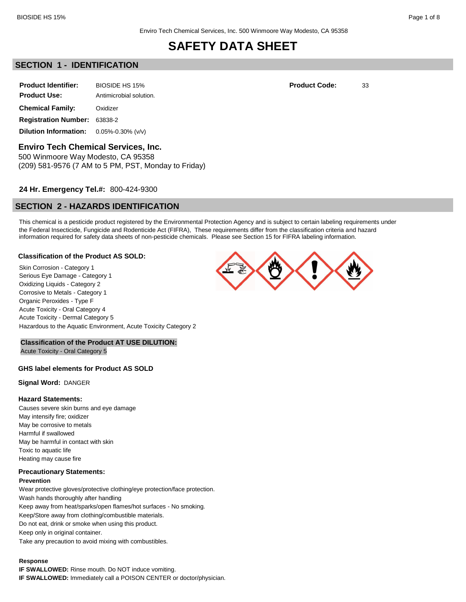## **SECTION 1 - IDENTIFICATION**

| <b>Product Identifier:</b>   | BIOSIDE HS 15%          |  |  |
|------------------------------|-------------------------|--|--|
| <b>Product Use:</b>          | Antimicrobial solution. |  |  |
| <b>Chemical Family:</b>      | Oxidizer                |  |  |
| <b>Registration Number:</b>  | 63838-2                 |  |  |
| <b>Dilution Information:</b> | $0.05\% - 0.30\%$ (v/v) |  |  |

**Enviro Tech Chemical Services, Inc.**

500 Winmoore Way Modesto, CA 95358 (209) 581-9576 (7 AM to 5 PM, PST, Monday to Friday)

## **24 Hr. Emergency Tel.#:** 800-424-9300

## **SECTION 2 - HAZARDS IDENTIFICATION**

This chemical is a pesticide product registered by the Environmental Protection Agency and is subject to certain labeling requirements under the Federal Insecticide, Fungicide and Rodenticide Act (FIFRA), These requirements differ from the classification criteria and hazard information required for safety data sheets of non-pesticide chemicals. Please see Section 15 for FIFRA labeling information.

### **Classification of the Product AS SOLD:**

Skin Corrosion - Category 1 Serious Eye Damage - Category 1 Oxidizing Liquids - Category 2 Corrosive to Metals - Category 1 Organic Peroxides - Type F Acute Toxicity - Oral Category 4 Acute Toxicity - Dermal Category 5 Hazardous to the Aquatic Environment, Acute Toxicity Category 2

## **Classification of the Product AT USE DILUTION:**

Acute Toxicity - Oral Category 5

### **GHS label elements for Product AS SOLD**

**Signal Word:** DANGER

### **Hazard Statements:**

Causes severe skin burns and eye damage May intensify fire; oxidizer May be corrosive to metals Harmful if swallowed May be harmful in contact with skin Toxic to aquatic life Heating may cause fire

### **Precautionary Statements:**

### **Prevention**

Wear protective gloves/protective clothing/eye protection/face protection. Wash hands thoroughly after handling Keep away from heat/sparks/open flames/hot surfaces - No smoking. Keep/Store away from clothing/combustible materials. Do not eat, drink or smoke when using this product. Keep only in original container. Take any precaution to avoid mixing with combustibles.

### **Response**

**IF SWALLOWED:** Rinse mouth. Do NOT induce vomiting. **IF SWALLOWED:** Immediately call a POISON CENTER or doctor/physician.



**Product Code:** 33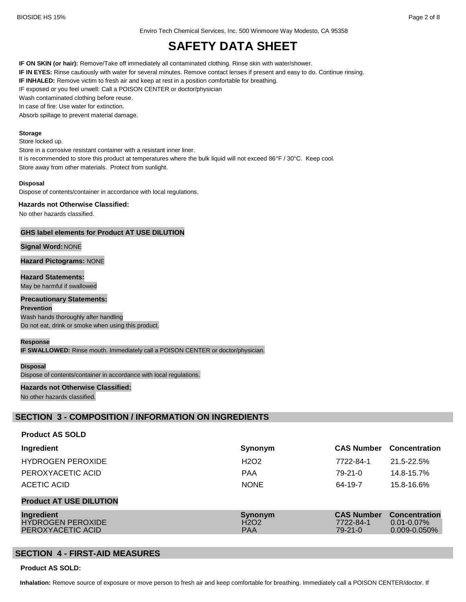Enviro Tech Chemical Services, Inc. 500 Winmoore Way Modesto, CA 95358

# **SAFETY DATA SHEET**

**IF ON SKIN (or hair):** Remove/Take off immediately all contaminated clothing. Rinse skin with water/shower.

**IF IN EYES:** Rinse cautiously with water for several minutes. Remove contact lenses if present and easy to do. Continue rinsing.

**IF INHALED:** Remove victim to fresh air and keep at rest in a position comfortable for breathing.

IF exposed or you feel unwell: Call a POISON CENTER or doctor/physician

Wash contaminated clothing before reuse.

In case of fire: Use water for extinction.

Absorb spillage to prevent material damage.

#### **Storage**

Store locked up.

Store in a corrosive resistant container with a resistant inner liner.

It is recommended to store this product at temperatures where the bulk liquid will not exceed 86°F / 30°C. Keep cool. Store away from other materials. Protect from sunlight.

#### **Disposal**

Dispose of contents/container in accordance with local regulations.

#### **Hazards not Otherwise Classified:**

No other hazards classified.

### **GHS label elements for Product AT USE DILUTION**

### **Signal Word:** NONE

**Hazard Pictograms:** NONE

**Hazard Statements:** May be harmful if swallowed

### **Precautionary Statements:**

**Prevention** Wash hands thoroughly after handling Do not eat, drink or smoke when using this product.

#### **Response**

**IF SWALLOWED:** Rinse mouth. Immediately call a POISON CENTER or doctor/physician.

#### **Disposal**

Dispose of contents/container in accordance with local regulations.

### **Hazards not Otherwise Classified:** No other hazards classified.

## **SECTION 3 - COMPOSITION / INFORMATION ON INGREDIENTS**

### **Product AS SOLD**

| Ingredient                                                  | Synonym                                                | <b>CAS Number</b>                               | <b>Concentration</b>                                         |
|-------------------------------------------------------------|--------------------------------------------------------|-------------------------------------------------|--------------------------------------------------------------|
| <b>HYDROGEN PEROXIDE</b>                                    | H <sub>2</sub> O <sub>2</sub>                          | 7722-84-1                                       | 21.5-22.5%                                                   |
| PEROXYACETIC ACID                                           | <b>PAA</b>                                             | $79 - 21 - 0$                                   | 14.8-15.7%                                                   |
| ACETIC ACID                                                 | <b>NONE</b>                                            | 64-19-7                                         | 15.8-16.6%                                                   |
| <b>Product AT USE DILUTION</b>                              |                                                        |                                                 |                                                              |
| Ingredient<br><b>HYDROGEN PEROXIDE</b><br>PEROXYACETIC ACID | Synonym<br>H <sub>2</sub> O <sub>2</sub><br><b>PAA</b> | <b>CAS Number</b><br>7722-84-1<br>$79 - 21 - 0$ | <b>Concentration</b><br>$0.01 - 0.07\%$<br>$0.009 - 0.050\%$ |

## **SECTION 4 - FIRST-AID MEASURES**

**Product AS SOLD:**

**Inhalation:** Remove source of exposure or move person to fresh air and keep comfortable for breathing. Immediately call a POISON CENTER/doctor. If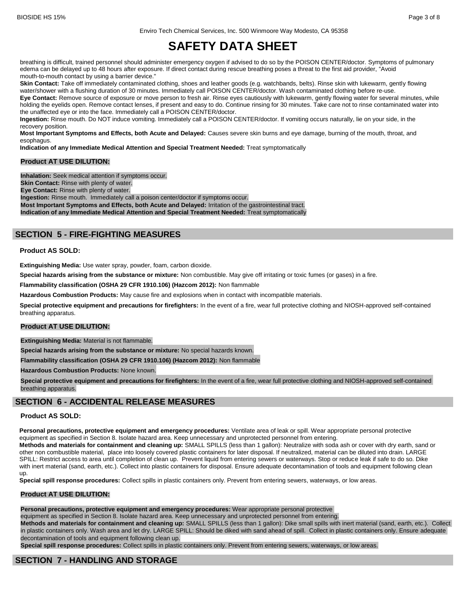BIOSIDE HS 15% Page 3 of 8

Enviro Tech Chemical Services, Inc. 500 Winmoore Way Modesto, CA 95358

# **SAFETY DATA SHEET**

breathing is difficult, trained personnel should administer emergency oxygen if advised to do so by the POISON CENTER/doctor. Symptoms of pulmonary edema can be delayed up to 48 hours after exposure. If direct contact during rescue breathing poses a threat to the first aid provider, "Avoid mouth-to-mouth contact by using a barrier device."

**Skin Contact:** Take off immediately contaminated clothing, shoes and leather goods (e.g. watchbands, belts). Rinse skin with lukewarm, gently flowing water/shower with a flushing duration of 30 minutes. Immediately call POISON CENTER/doctor. Wash contaminated clothing before re-use.

Eye Contact: Remove source of exposure or move person to fresh air. Rinse eyes cautiously with lukewarm, gently flowing water for several minutes, while holding the eyelids open. Remove contact lenses, if present and easy to do. Continue rinsing for 30 minutes. Take care not to rinse contaminated water into the unaffected eye or into the face. Immediately call a POISON CENTER/doctor.

**Ingestion:** Rinse mouth. Do NOT induce vomiting. Immediately call a POISON CENTER/doctor. If vomiting occurs naturally, lie on your side, in the recovery position.

**Most Important Symptoms and Effects, both Acute and Delayed:** Causes severe skin burns and eye damage, burning of the mouth, throat, and esophagus.

**Indication of any Immediate Medical Attention and Special Treatment Needed:** Treat symptomatically

### **Product AT USE DILUTION:**

**Inhalation:** Seek medical attention if symptoms occur.

**Skin Contact:** Rinse with plenty of water.

**Eye Contact:** Rinse with plenty of water.

**Ingestion:** Rinse mouth. Immediately call a poison center/doctor if symptoms occur.

**Most Important Symptoms and Effects, both Acute and Delayed:** Irritation of the gastrointestinal tract. **Indication of any Immediate Medical Attention and Special Treatment Needed:** Treat symptomatically

## **SECTION 5 - FIRE-FIGHTING MEASURES**

### **Product AS SOLD:**

**Extinguishing Media:** Use water spray, powder, foam, carbon dioxide.

**Special hazards arising from the substance or mixture:** Non combustible. May give off irritating or toxic fumes (or gases) in a fire.

**Flammability classification (OSHA 29 CFR 1910.106) (Hazcom 2012):** Non flammable

**Hazardous Combustion Products:** May cause fire and explosions when in contact with incompatible materials.

**Special protective equipment and precautions for firefighters:** In the event of a fire, wear full protective clothing and NIOSH-approved self-contained breathing apparatus.

### **Product AT USE DILUTION:**

**Extinguishing Media:** Material is not flammable.

**Special hazards arising from the substance or mixture:** No special hazards known.

**Flammability classification (OSHA 29 CFR 1910.106) (Hazcom 2012):** Non flammable

**Hazardous Combustion Products:** None known.

**Special protective equipment and precautions for firefighters:** In the event of a fire, wear full protective clothing and NIOSH-approved self-contained breathing apparatus.

## **SECTION 6 - ACCIDENTAL RELEASE MEASURES**

## **Product AS SOLD:**

**Personal precautions, protective equipment and emergency procedures:** Ventilate area of leak or spill. Wear appropriate personal protective equipment as specified in Section 8. Isolate hazard area. Keep unnecessary and unprotected personnel from entering.

**Methods and materials for containment and cleaning up:** SMALL SPILLS (less than 1 gallon): Neutralize with soda ash or cover with dry earth, sand or other non combustible material, place into loosely covered plastic containers for later disposal. If neutralized, material can be diluted into drain. LARGE SPILL: Restrict access to area until completion of clean up. Prevent liquid from entering sewers or waterways. Stop or reduce leak if safe to do so. Dike with inert material (sand, earth, etc.). Collect into plastic containers for disposal. Ensure adequate decontamination of tools and equipment following clean up.

**Special spill response procedures:** Collect spills in plastic containers only. Prevent from entering sewers, waterways, or low areas.

### **Product AT USE DILUTION:**

**Personal precautions, protective equipment and emergency procedures:** Wear appropriate personal protective

equipment as specified in Section 8. Isolate hazard area. Keep unnecessary and unprotected personnel from entering.

**Methods and materials for containment and cleaning up:** SMALL SPILLS (less than 1 gallon): Dike small spills with inert material (sand, earth, etc.). Collect in plastic containers only. Wash area and let dry. LARGE SPILL: Should be diked with sand ahead of spill. Collect in plastic containers only. Ensure adequate decontamination of tools and equipment following clean up.

**Special spill response procedures:** Collect spills in plastic containers only. Prevent from entering sewers, waterways, or low areas.

## **SECTION 7 - HANDLING AND STORAGE**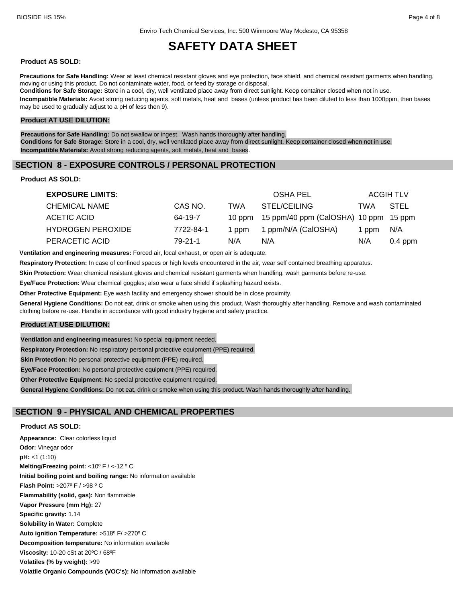### **Product AS SOLD:**

**Precautions for Safe Handling:** Wear at least chemical resistant gloves and eye protection, face shield, and chemical resistant garments when handling, moving or using this product. Do not contaminate water, food, or feed by storage or disposal. **Conditions for Safe Storage:** Store in a cool, dry, well ventilated place away from direct sunlight. Keep container closed when not in use.

**Incompatible Materials:** Avoid strong reducing agents, soft metals, heat and bases (unless product has been diluted to less than 1000ppm, then bases may be used to gradually adjust to a pH of less then 9).

### **Product AT USE DILUTION:**

**Precautions for Safe Handling:** Do not swallow or ingest. Wash hands thoroughly after handling. **Conditions for Safe Storage:** Store in a cool, dry, well ventilated place away from direct sunlight. Keep container closed when not in use. **Incompatible Materials:** Avoid strong reducing agents, soft metals, heat and bases.

## **SECTION 8 - EXPOSURE CONTROLS / PERSONAL PROTECTION**

### **Product AS SOLD:**

| <b>EXPOSURE LIMITS:</b>  |           |       | OSHA PEL                                     |       | <b>ACGIH TLV</b> |
|--------------------------|-----------|-------|----------------------------------------------|-------|------------------|
| <b>CHEMICAL NAME</b>     | CAS NO.   | TWA   | STEL/CEILING                                 | TWA   | STEL             |
| ACETIC ACID              | 64-19-7   |       | 10 ppm 15 ppm/40 ppm (CalOSHA) 10 ppm 15 ppm |       |                  |
| <b>HYDROGEN PEROXIDE</b> | 7722-84-1 | 1 ppm | 1 ppm/N/A (CalOSHA)                          | 1 ppm | N/A              |
| PERACETIC ACID           | 79-21-1   | N/A   | N/A                                          | N/A   | $0.4$ ppm        |

**Ventilation and engineering measures:** Forced air, local exhaust, or open air is adequate.

**Respiratory Protection:** In case of confined spaces or high levels encountered in the air, wear self contained breathing apparatus.

**Skin Protection:** Wear chemical resistant gloves and chemical resistant garments when handling, wash garments before re-use.

**Eye/Face Protection:** Wear chemical goggles; also wear a face shield if splashing hazard exists.

**Other Protective Equipment:** Eye wash facility and emergency shower should be in close proximity.

**General Hygiene Conditions:** Do not eat, drink or smoke when using this product. Wash thoroughly after handling. Remove and wash contaminated clothing before re-use. Handle in accordance with good industry hygiene and safety practice.

### **Product AT USE DILUTION:**

**Ventilation and engineering measures:** No special equipment needed.

**Respiratory Protection:** No respiratory personal protective equipment (PPE) required.

**Skin Protection:** No personal protective equipment (PPE) required.

**Eye/Face Protection:** No personal protective equipment (PPE) required.

**Other Protective Equipment:** No special protective equipment required.

**General Hygiene Conditions:** Do not eat, drink or smoke when using this product. Wash hands thoroughly after handling.

## **SECTION 9 - PHYSICAL AND CHEMICAL PROPERTIES**

### **Product AS SOLD:**

**Appearance:** Clear colorless liquid **Odor:** Vinegar odor **pH:** <1 (1:10) **Melting/Freezing point:** <10º F / <-12 º C **Initial boiling point and boiling range:** No information available **Flash Point:** >207º F / >98 º C **Flammability (solid, gas):** Non flammable **Vapor Pressure (mm Hg):** 27 **Specific gravity:** 1.14 **Solubility in Water:** Complete **Auto ignition Temperature:** >518º F/ >270º C **Decomposition temperature:** No information available **Viscosity:** 10-20 cSt at 20ºC / 68ºF **Volatiles (% by weight):** >99 **Volatile Organic Compounds (VOC's):** No information available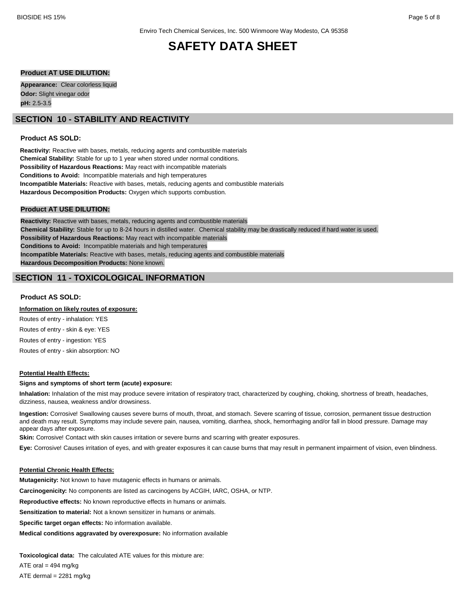### **Product AT USE DILUTION:**

**Appearance:** Clear colorless liquid **Odor:** Slight vinegar odor **pH:** 2.5-3.5

## **SECTION 10 - STABILITY AND REACTIVITY**

### **Product AS SOLD:**

**Reactivity:** Reactive with bases, metals, reducing agents and combustible materials **Chemical Stability:** Stable for up to 1 year when stored under normal conditions. **Possibility of Hazardous Reactions:** May react with incompatible materials **Conditions to Avoid:** Incompatible materials and high temperatures **Incompatible Materials:** Reactive with bases, metals, reducing agents and combustible materials **Hazardous Decomposition Products:** Oxygen which supports combustion.

### **Product AT USE DILUTION:**

**Reactivity:** Reactive with bases, metals, reducing agents and combustible materials **Chemical Stability:** Stable for up to 8-24 hours in distilled water. Chemical stability may be drastically reduced if hard water is used. **Possibility of Hazardous Reactions:** May react with incompatible materials **Conditions to Avoid:** Incompatible materials and high temperatures **Incompatible Materials:** Reactive with bases, metals, reducing agents and combustible materials **Hazardous Decomposition Products:** None known.

## **SECTION 11 - TOXICOLOGICAL INFORMATION**

### **Product AS SOLD:**

#### **Information on likely routes of exposure:**

Routes of entry - inhalation: YES Routes of entry - skin & eye: YES Routes of entry - ingestion: YES Routes of entry - skin absorption: NO

### **Potential Health Effects:**

#### **Signs and symptoms of short term (acute) exposure:**

**Inhalation:** Inhalation of the mist may produce severe irritation of respiratory tract, characterized by coughing, choking, shortness of breath, headaches, dizziness, nausea, weakness and/or drowsiness.

**Ingestion:** Corrosive! Swallowing causes severe burns of mouth, throat, and stomach. Severe scarring of tissue, corrosion, permanent tissue destruction and death may result. Symptoms may include severe pain, nausea, vomiting, diarrhea, shock, hemorrhaging and/or fall in blood pressure. Damage may appear days after exposure.

**Skin:** Corrosive! Contact with skin causes irritation or severe burns and scarring with greater exposures.

**Eye:** Corrosive! Causes irritation of eyes, and with greater exposures it can cause burns that may result in permanent impairment of vision, even blindness.

#### **Potential Chronic Health Effects:**

**Mutagenicity:** Not known to have mutagenic effects in humans or animals.

**Carcinogenicity:** No components are listed as carcinogens by ACGIH, IARC, OSHA, or NTP.

**Reproductive effects:** No known reproductive effects in humans or animals.

**Sensitization to material:** Not a known sensitizer in humans or animals.

**Specific target organ effects:** No information available.

**Medical conditions aggravated by overexposure:** No information available

**Toxicological data:** The calculated ATE values for this mixture are:

ATE oral  $= 494$  mg/kg ATE dermal  $= 2281$  mg/kg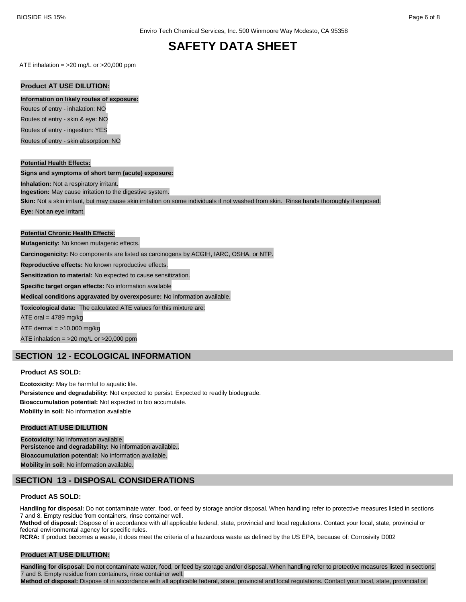ATE inhalation =  $>20$  mg/L or  $>20,000$  ppm

## **Product AT USE DILUTION:**

### **Information on likely routes of exposure:**

Routes of entry - inhalation: NO

Routes of entry - skin & eye: NO Routes of entry - ingestion: YES

Routes of entry - skin absorption: NO

## **Potential Health Effects:**

**Signs and symptoms of short term (acute) exposure:**

**Inhalation:** Not a respiratory irritant.

**Ingestion:** May cause irritation to the digestive system.

**Skin:** Not a skin irritant, but may cause skin irritation on some individuals if not washed from skin. Rinse hands thoroughly if exposed.

**Eye:** Not an eye irritant.

## **Potential Chronic Health Effects:**

**Mutagenicity:** No known mutagenic effects.

**Carcinogenicity:** No components are listed as carcinogens by ACGIH, IARC, OSHA, or NTP.

**Reproductive effects:** No known reproductive effects.

**Sensitization to material:** No expected to cause sensitization.

**Specific target organ effects:** No information available

**Medical conditions aggravated by overexposure:** No information available.

**Toxicological data:** The calculated ATE values for this mixture are:

ATE oral  $= 4789$  mg/kg

ATE dermal  $=$  >10,000 mg/kg

ATE inhalation = >20 mg/L or >20,000 ppm

## **SECTION 12 - ECOLOGICAL INFORMATION**

## **Product AS SOLD:**

**Ecotoxicity:** May be harmful to aquatic life. **Persistence and degradability:** Not expected to persist. Expected to readily biodegrade. **Bioaccumulation potential:** Not expected to bio accumulate. **Mobility in soil:** No information available

## **Product AT USE DILUTION**

**Ecotoxicity:** No information available. **Persistence and degradability:** No information available.. **Bioaccumulation potential:** No information available. **Mobility in soil:** No information available.

## **SECTION 13 - DISPOSAL CONSIDERATIONS**

## **Product AS SOLD:**

**Handling for disposal:** Do not contaminate water, food, or feed by storage and/or disposal. When handling refer to protective measures listed in sections 7 and 8. Empty residue from containers, rinse container well.

**Method of disposal:** Dispose of in accordance with all applicable federal, state, provincial and local regulations. Contact your local, state, provincial or federal environmental agency for specific rules.

**RCRA:** If product becomes a waste, it does meet the criteria of a hazardous waste as defined by the US EPA, because of: Corrosivity D002

## **Product AT USE DILUTION:**

**Handling for disposal:** Do not contaminate water, food, or feed by storage and/or disposal. When handling refer to protective measures listed in sections 7 and 8. Empty residue from containers, rinse container well.

**Method of disposal:** Dispose of in accordance with all applicable federal, state, provincial and local regulations. Contact your local, state, provincial or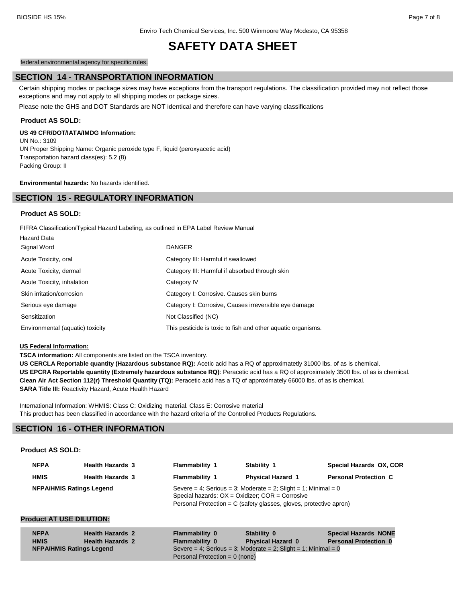Enviro Tech Chemical Services, Inc. 500 Winmoore Way Modesto, CA 95358

## **SAFETY DATA SHEET**

federal environmental agency for specific rules.

## **SECTION 14 - TRANSPORTATION INFORMATION**

Certain shipping modes or package sizes may have exceptions from the transport regulations. The classification provided may not reflect those exceptions and may not apply to all shipping modes or package sizes.

Please note the GHS and DOT Standards are NOT identical and therefore can have varying classifications

### **Product AS SOLD:**

### **US 49 CFR/DOT/IATA/IMDG Information:**

UN No.: 3109 UN Proper Shipping Name: Organic peroxide type F, liquid (peroxyacetic acid) Transportation hazard class(es): 5.2 (8) Packing Group: II

**Environmental hazards:** No hazards identified.

## **SECTION 15 - REGULATORY INFORMATION**

### **Product AS SOLD:**

FIFRA Classification/Typical Hazard Labeling, as outlined in EPA Label Review Manual

| <b>Hazard Data</b>               |                                                              |
|----------------------------------|--------------------------------------------------------------|
| Signal Word                      | <b>DANGER</b>                                                |
| Acute Toxicity, oral             | Category III: Harmful if swallowed                           |
| Acute Toxicity, dermal           | Category III: Harmful if absorbed through skin               |
| Acute Toxicity, inhalation       | Category IV                                                  |
| Skin irritation/corrosion        | Category I: Corrosive. Causes skin burns                     |
| Serious eye damage               | Category I: Corrosive, Causes irreversible eye damage        |
| Sensitization                    | Not Classified (NC)                                          |
| Environmental (aquatic) toxicity | This pesticide is toxic to fish and other aquatic organisms. |

### **US Federal Information:**

**TSCA information:** All components are listed on the TSCA inventory.

**US CERCLA Reportable quantity (Hazardous substance RQ):** Acetic acid has a RQ of approximatetly 31000 lbs. of as is chemical. **US EPCRA Reportable quantity (Extremely hazardous substance RQ)**: Peracetic acid has a RQ of approximately 3500 lbs. of as is chemical. **Clean Air Act Section 112(r) Threshold Quantity (TQ):** Peracetic acid has a TQ of approximately 66000 lbs. of as is chemical. **SARA Title III:** Reactivity Hazard, Acute Health Hazard

International Information: WHMIS: Class C: Oxidizing material. Class E: Corrosive material This product has been classified in accordance with the hazard criteria of the Controlled Products Regulations.

## **SECTION 16 - OTHER INFORMATION**

## **Product AS SOLD:**

| <b>NFPA</b> | <b>Health Hazards 3</b>         | <b>Flammability 1</b>                                                                                                  | Stability 1              | Special Hazards OX, COR      |
|-------------|---------------------------------|------------------------------------------------------------------------------------------------------------------------|--------------------------|------------------------------|
| <b>HMIS</b> | <b>Health Hazards 3</b>         | <b>Flammability 1</b>                                                                                                  | <b>Physical Hazard 1</b> | <b>Personal Protection C</b> |
|             | <b>NFPA/HMIS Ratings Legend</b> | Severe = 4; Serious = 3; Moderate = 2; Slight = 1; Minimal = 0<br>Special hazards: $OX = Oxidizer$ ; $COR = Corrosive$ |                          |                              |
|             |                                 | Personal Protection = C (safety glasses, gloves, protective apron)                                                     |                          |                              |

### **Product AT USE DILUTION:**

| <b>NFPA</b><br><b>HMIS</b>      | <b>Health Hazards 2</b><br><b>Health Hazards 2</b> | <b>Flammability 0</b><br>Flammability 0 | Stability 0<br><b>Physical Hazard 0</b>                        | <b>Special Hazards NONE</b><br><b>Personal Protection 0</b> |
|---------------------------------|----------------------------------------------------|-----------------------------------------|----------------------------------------------------------------|-------------------------------------------------------------|
| <b>NFPA/HMIS Ratings Legend</b> |                                                    |                                         | Severe = 4; Serious = 3; Moderate = 2; Slight = 1; Minimal = 0 |                                                             |
|                                 |                                                    | Personal Protection = $0$ (none)        |                                                                |                                                             |